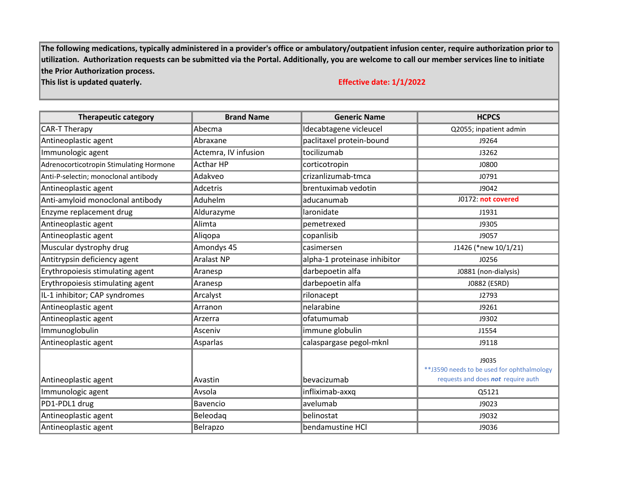**The following medications, typically administered in a provider's office or ambulatory/outpatient infusion center, require authorization prior to utilization. Authorization requests can be submitted via the Portal. Additionally, you are welcome to call our member services line to initiate the Prior Authorization process.** 

## **This list is updated quaterly. Effective date: 1/1/2022**

| <b>Therapeutic category</b>             | <b>Brand Name</b>    | <b>Generic Name</b>          | <b>HCPCS</b>                                                                               |
|-----------------------------------------|----------------------|------------------------------|--------------------------------------------------------------------------------------------|
| <b>CAR-T Therapy</b>                    | Abecma               | Idecabtagene vicleucel       | Q2055; inpatient admin                                                                     |
| Antineoplastic agent                    | Abraxane             | paclitaxel protein-bound     | J9264                                                                                      |
| Immunologic agent                       | Actemra, IV infusion | tocilizumab                  | J3262                                                                                      |
| Adrenocorticotropin Stimulating Hormone | <b>Acthar HP</b>     | corticotropin                | J0800                                                                                      |
| Anti-P-selectin; monoclonal antibody    | Adakveo              | crizanlizumab-tmca           | J0791                                                                                      |
| Antineoplastic agent                    | <b>Adcetris</b>      | brentuximab vedotin          | J9042                                                                                      |
| Anti-amyloid monoclonal antibody        | Aduhelm              | aducanumab                   | J0172: not covered                                                                         |
| Enzyme replacement drug                 | Aldurazyme           | laronidate                   | J1931                                                                                      |
| Antineoplastic agent                    | Alimta               | pemetrexed                   | J9305                                                                                      |
| Antineoplastic agent                    | Aliqopa              | copanlisib                   | J9057                                                                                      |
| Muscular dystrophy drug                 | Amondys 45           | casimersen                   | J1426 (*new 10/1/21)                                                                       |
| Antitrypsin deficiency agent            | <b>Aralast NP</b>    | alpha-1 proteinase inhibitor | J0256                                                                                      |
| Erythropoiesis stimulating agent        | Aranesp              | darbepoetin alfa             | J0881 (non-dialysis)                                                                       |
| Erythropoiesis stimulating agent        | Aranesp              | darbepoetin alfa             | J0882 (ESRD)                                                                               |
| IL-1 inhibitor; CAP syndromes           | Arcalyst             | rilonacept                   | J2793                                                                                      |
| Antineoplastic agent                    | Arranon              | nelarabine                   | J9261                                                                                      |
| Antineoplastic agent                    | Arzerra              | ofatumumab                   | J9302                                                                                      |
| Immunoglobulin                          | Asceniv              | immune globulin              | J1554                                                                                      |
| Antineoplastic agent                    | Asparlas             | calaspargase pegol-mknl      | J9118                                                                                      |
| Antineoplastic agent                    | Avastin              | bevacizumab                  | J9035<br>** J3590 needs to be used for ophthalmology<br>requests and does not require auth |
| Immunologic agent                       | Avsola               | infliximab-axxq              | Q5121                                                                                      |
| PD1-PDL1 drug                           | Bavencio             | avelumab                     | J9023                                                                                      |
| Antineoplastic agent                    | Beleodag             | belinostat                   | J9032                                                                                      |
| Antineoplastic agent                    | Belrapzo             | bendamustine HCl             | J9036                                                                                      |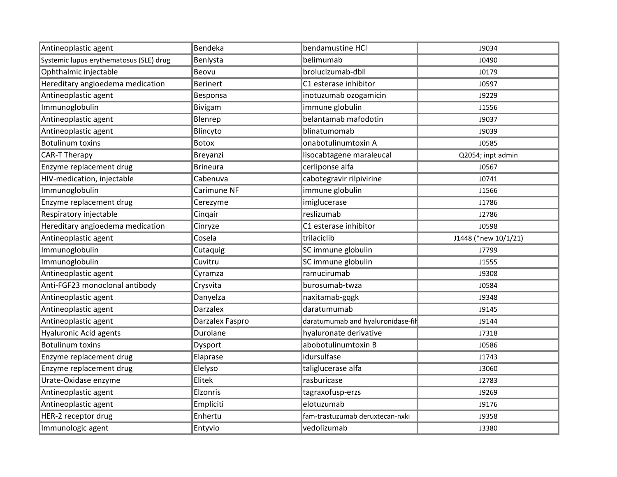| Antineoplastic agent                    | Bendeka         | bendamustine HCl                  | J9034                |
|-----------------------------------------|-----------------|-----------------------------------|----------------------|
| Systemic lupus erythematosus (SLE) drug | Benlysta        | belimumab                         | J0490                |
| Ophthalmic injectable                   | Beovu           | brolucizumab-dbll                 | J0179                |
| Hereditary angioedema medication        | <b>Berinert</b> | C1 esterase inhibitor             | J0597                |
| Antineoplastic agent                    | Besponsa        | inotuzumab ozogamicin             | J9229                |
| Immunoglobulin                          | Bivigam         | immune globulin                   | J1556                |
| Antineoplastic agent                    | Blenrep         | belantamab mafodotin              | J9037                |
| Antineoplastic agent                    | Blincyto        | blinatumomab                      | J9039                |
| <b>Botulinum toxins</b>                 | Botox           | onabotulinumtoxin A               | J0585                |
| CAR-T Therapy                           | Breyanzi        | lisocabtagene maraleucal          | Q2054; inpt admin    |
| Enzyme replacement drug                 | <b>Brineura</b> | cerliponse alfa                   | J0567                |
| HIV-medication, injectable              | Cabenuva        | cabotegravir rilpivirine          | J0741                |
| Immunoglobulin                          | Carimune NF     | immune globulin                   | J1566                |
| Enzyme replacement drug                 | Cerezyme        | imiglucerase                      | J1786                |
| Respiratory injectable                  | Cinqair         | reslizumab                        | J2786                |
| Hereditary angioedema medication        | Cinryze         | C1 esterase inhibitor             | J0598                |
| Antineoplastic agent                    | Cosela          | trilaciclib                       | J1448 (*new 10/1/21) |
| Immunoglobulin                          | Cutaquig        | SC immune globulin                | J7799                |
| Immunoglobulin                          | Cuvitru         | SC immune globulin                | J1555                |
| Antineoplastic agent                    | Cyramza         | ramucirumab                       | J9308                |
| Anti-FGF23 monoclonal antibody          | Crysvita        | burosumab-twza                    | J0584                |
| Antineoplastic agent                    | Danyelza        | naxitamab-gqgk                    | J9348                |
| Antineoplastic agent                    | Darzalex        | daratumumab                       | J9145                |
| Antineoplastic agent                    | Darzalex Faspro | daratumumab and hyaluronidase-fil | J9144                |
| <b>Hyaluronic Acid agents</b>           | Durolane        | hyaluronate derivative            | J7318                |
| <b>Botulinum toxins</b>                 | Dysport         | abobotulinumtoxin B               | J0586                |
| Enzyme replacement drug                 | Elaprase        | idursulfase                       | J1743                |
| Enzyme replacement drug                 | Elelyso         | taliglucerase alfa                | J3060                |
| Urate-Oxidase enzyme                    | Elitek          | rasburicase                       | J2783                |
| Antineoplastic agent                    | Elzonris        | tagraxofusp-erzs                  | J9269                |
| Antineoplastic agent                    | Empliciti       | elotuzumab                        | J9176                |
| HER-2 receptor drug                     | Enhertu         | fam-trastuzumab deruxtecan-nxki   | J9358                |
| Immunologic agent                       | Entyvio         | vedolizumab                       | J3380                |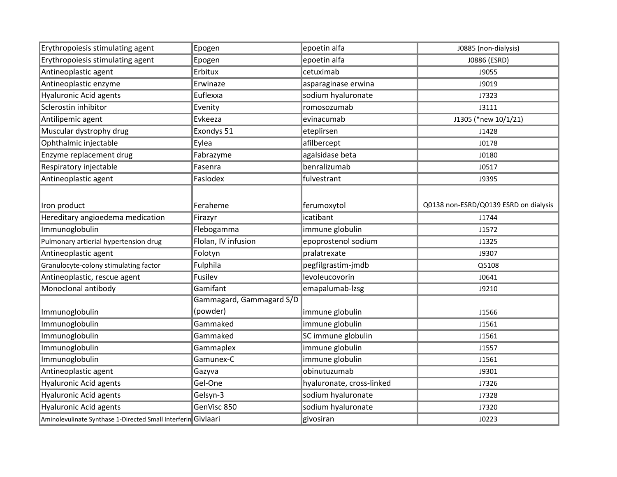| Erythropoiesis stimulating agent                              | Epogen                               | epoetin alfa              | J0885 (non-dialysis)                  |
|---------------------------------------------------------------|--------------------------------------|---------------------------|---------------------------------------|
| Erythropoiesis stimulating agent                              | Epogen                               | epoetin alfa              | J0886 (ESRD)                          |
| Antineoplastic agent                                          | Erbitux                              | cetuximab                 | J9055                                 |
| Antineoplastic enzyme                                         | Erwinaze                             | asparaginase erwina       | J9019                                 |
| Hyaluronic Acid agents                                        | Euflexxa                             | sodium hyaluronate        | J7323                                 |
| Sclerostin inhibitor                                          | Evenity                              | romosozumab               | J3111                                 |
| Antilipemic agent                                             | Evkeeza                              | evinacumab                | J1305 (*new 10/1/21)                  |
| Muscular dystrophy drug                                       | Exondys 51                           | eteplirsen                | J1428                                 |
| Ophthalmic injectable                                         | Eylea                                | afilbercept               | J0178                                 |
| Enzyme replacement drug                                       | Fabrazyme                            | agalsidase beta           | J0180                                 |
| Respiratory injectable                                        | Fasenra                              | benralizumab              | J0517                                 |
| Antineoplastic agent                                          | Faslodex                             | fulvestrant               | J9395                                 |
|                                                               |                                      |                           |                                       |
| Iron product                                                  | Feraheme                             | ferumoxytol               | Q0138 non-ESRD/Q0139 ESRD on dialysis |
| Hereditary angioedema medication                              | Firazyr                              | icatibant                 | J1744                                 |
| Immunoglobulin                                                | Flebogamma                           | immune globulin           | J1572                                 |
| Pulmonary artierial hypertension drug                         | Flolan, IV infusion                  | epoprostenol sodium       | J1325                                 |
| Antineoplastic agent                                          | Folotyn                              | pralatrexate              | J9307                                 |
| Granulocyte-colony stimulating factor                         | Fulphila                             | pegfilgrastim-jmdb        | Q5108                                 |
| Antineoplastic, rescue agent                                  | Fusilev                              | levoleucovorin            | J0641                                 |
| Monoclonal antibody                                           | Gamifant                             | emapalumab-Izsg           | J9210                                 |
| Immunoglobulin                                                | Gammagard, Gammagard S/D<br>(powder) | immune globulin           | J1566                                 |
| Immunoglobulin                                                | Gammaked                             | immune globulin           | J1561                                 |
| Immunoglobulin                                                | Gammaked                             | SC immune globulin        | J1561                                 |
| Immunoglobulin                                                | Gammaplex                            | immune globulin           | J1557                                 |
| Immunoglobulin                                                | Gamunex-C                            | immune globulin           | J1561                                 |
| Antineoplastic agent                                          | Gazyva                               | obinutuzumab              | J9301                                 |
| Hyaluronic Acid agents                                        | Gel-One                              | hyaluronate, cross-linked | J7326                                 |
| Hyaluronic Acid agents                                        | Gelsyn-3                             | sodium hyaluronate        | J7328                                 |
| Hyaluronic Acid agents                                        | GenVisc 850                          | sodium hyaluronate        | J7320                                 |
| Aminolevulinate Synthase 1-Directed Small Interferin Givlaari |                                      | givosiran                 | J0223                                 |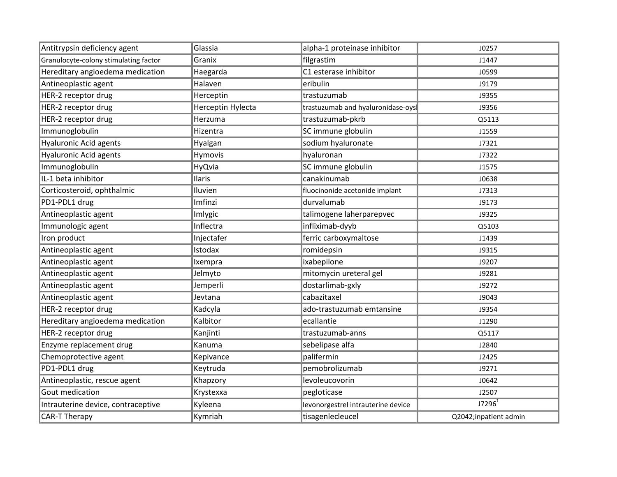| Antitrypsin deficiency agent          | Glassia           | alpha-1 proteinase inhibitor       | J0257                 |
|---------------------------------------|-------------------|------------------------------------|-----------------------|
| Granulocyte-colony stimulating factor | Granix            | filgrastim                         | J1447                 |
| Hereditary angioedema medication      | Haegarda          | C1 esterase inhibitor              | J0599                 |
| Antineoplastic agent                  | Halaven           | eribulin                           | J9179                 |
| HER-2 receptor drug                   | Herceptin         | trastuzumab                        | J9355                 |
| HER-2 receptor drug                   | Herceptin Hylecta | trastuzumab and hyaluronidase-oys  | J9356                 |
| HER-2 receptor drug                   | Herzuma           | trastuzumab-pkrb                   | Q5113                 |
| Immunoglobulin                        | Hizentra          | SC immune globulin                 | J1559                 |
| <b>Hyaluronic Acid agents</b>         | Hyalgan           | sodium hyaluronate                 | J7321                 |
| <b>Hyaluronic Acid agents</b>         | Hymovis           | hyaluronan                         | J7322                 |
| Immunoglobulin                        | HyQvia            | SC immune globulin                 | J1575                 |
| IL-1 beta inhibitor                   | Ilaris            | canakinumab                        | J0638                 |
| Corticosteroid, ophthalmic            | Iluvien           | fluocinonide acetonide implant     | J7313                 |
| PD1-PDL1 drug                         | Imfinzi           | durvalumab                         | J9173                 |
| Antineoplastic agent                  | Imlygic           | talimogene laherparepvec           | J9325                 |
| Immunologic agent                     | Inflectra         | infliximab-dyyb                    | Q5103                 |
| Iron product                          | Injectafer        | ferric carboxymaltose              | J1439                 |
| Antineoplastic agent                  | Istodax           | romidepsin                         | J9315                 |
| Antineoplastic agent                  | Ixempra           | ixabepilone                        | J9207                 |
| Antineoplastic agent                  | Jelmyto           | mitomycin ureteral gel             | J9281                 |
| Antineoplastic agent                  | Jemperli          | dostarlimab-gxly                   | J9272                 |
| Antineoplastic agent                  | Jevtana           | cabazitaxel                        | J9043                 |
| HER-2 receptor drug                   | Kadcyla           | ado-trastuzumab emtansine          | J9354                 |
| Hereditary angioedema medication      | Kalbitor          | ecallantie                         | J1290                 |
| HER-2 receptor drug                   | Kanjinti          | trastuzumab-anns                   | Q5117                 |
| Enzyme replacement drug               | Kanuma            | sebelipase alfa                    | J2840                 |
| Chemoprotective agent                 | Kepivance         | palifermin                         | J2425                 |
| PD1-PDL1 drug                         | Keytruda          | pemobrolizumab                     | J9271                 |
| Antineoplastic, rescue agent          | Khapzory          | levoleucovorin                     | J0642                 |
| Gout medication                       | Krystexxa         | pegloticase                        | J2507                 |
| Intrauterine device, contraceptive    | Kyleena           | levonorgestrel intrauterine device | J7296 <sup>1</sup>    |
| <b>CAR-T Therapy</b>                  | Kymriah           | tisagenlecleucel                   | Q2042;inpatient admin |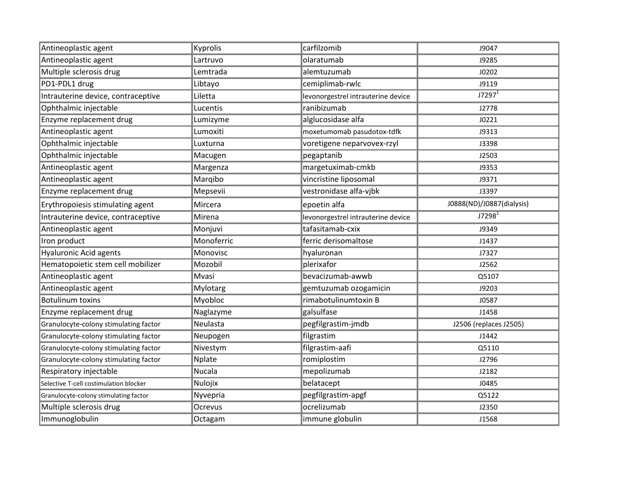| Antineoplastic agent                   | Kyprolis       | carfilzomib                        | J9047                     |
|----------------------------------------|----------------|------------------------------------|---------------------------|
| Antineoplastic agent                   | Lartruvo       | olaratumab                         | J9285                     |
| Multiple sclerosis drug                | Lemtrada       | alemtuzumab                        | J0202                     |
| PD1-PDL1 drug                          | Libtayo        | cemiplimab-rwlc                    | J9119                     |
| Intrauterine device, contraceptive     | Liletta        | levonorgestrel intrauterine device | J7297 <sup>1</sup>        |
| Ophthalmic injectable                  | Lucentis       | ranibizumab                        | J2778                     |
| Enzyme replacement drug                | Lumizyme       | alglucosidase alfa                 | J0221                     |
| Antineoplastic agent                   | Lumoxiti       | moxetumomab pasudotox-tdfk         | J9313                     |
| Ophthalmic injectable                  | Luxturna       | voretigene neparvovex-rzyl         | J3398                     |
| Ophthalmic injectable                  | Macugen        | pegaptanib                         | J2503                     |
| Antineoplastic agent                   | Margenza       | margetuximab-cmkb                  | J9353                     |
| Antineoplastic agent                   | Marqibo        | vincristine liposomal              | J9371                     |
| Enzyme replacement drug                | Mepsevii       | vestronidase alfa-vjbk             | J3397                     |
| Erythropoiesis stimulating agent       | Mircera        | epoetin alfa                       | J0888(ND)/J0887(dialysis) |
| Intrauterine device, contraceptive     | Mirena         | levonorgestrel intrauterine device | $J7298$ <sup>1</sup>      |
| Antineoplastic agent                   | Monjuvi        | tafasitamab-cxix                   | J9349                     |
| Iron product                           | Monoferric     | ferric derisomaltose               | J1437                     |
| <b>Hyaluronic Acid agents</b>          | Monovisc       | hyaluronan                         | J7327                     |
| Hematopoietic stem cell mobilizer      | Mozobil        | plerixafor                         | J2562                     |
| Antineoplastic agent                   | Mvasi          | bevacizumab-awwb                   | Q5107                     |
| Antineoplastic agent                   | Mylotarg       | gemtuzumab ozogamicin              | J9203                     |
| Botulinum toxins                       | <b>Myobloc</b> | rimabotulinumtoxin B               | J0587                     |
| Enzyme replacement drug                | Naglazyme      | galsulfase                         | J1458                     |
| Granulocyte-colony stimulating factor  | Neulasta       | pegfilgrastim-jmdb                 | J2506 (replaces J2505)    |
| Granulocyte-colony stimulating factor  | Neupogen       | filgrastim                         | J1442                     |
| Granulocyte-colony stimulating factor  | Nivestym       | filgrastim-aafi                    | Q5110                     |
| Granulocyte-colony stimulating factor  | Nplate         | romiplostim                        | J2796                     |
| Respiratory injectable                 | <b>Nucala</b>  | mepolizumab                        | J2182                     |
| Selective T-cell costimulation blocker | Nulojix        | belatacept                         | J0485                     |
| Granulocyte-colony stimulating factor  | Nyvepria       | pegfilgrastim-apgf                 | Q5122                     |
| Multiple sclerosis drug                | Ocrevus        | ocrelizumab                        | J2350                     |
| Immunoglobulin                         | Octagam        | immune globulin                    | J1568                     |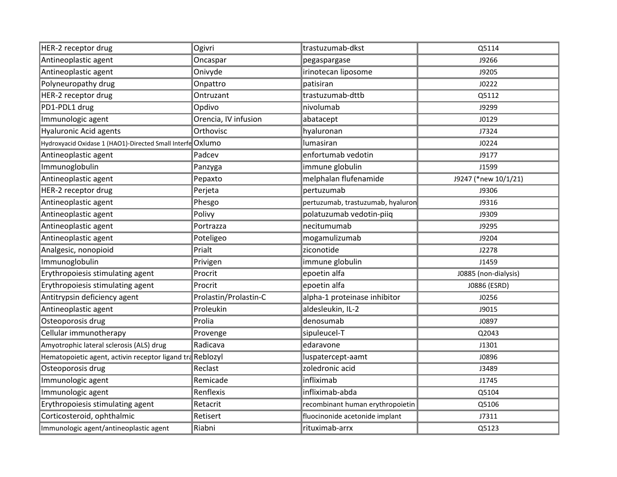| HER-2 receptor drug                                        | Ogivri                | trastuzumab-dkst                  | Q5114                |
|------------------------------------------------------------|-----------------------|-----------------------------------|----------------------|
| Antineoplastic agent                                       | Oncaspar              | pegaspargase                      | J9266                |
| Antineoplastic agent                                       | Onivyde               | irinotecan liposome               | J9205                |
| Polyneuropathy drug                                        | Onpattro              | patisiran                         | J0222                |
| HER-2 receptor drug                                        | Ontruzant             | trastuzumab-dttb                  | Q5112                |
| PD1-PDL1 drug                                              | Opdivo                | nivolumab                         | J9299                |
| Immunologic agent                                          | Orencia, IV infusion  | abatacept                         | J0129                |
| <b>Hyaluronic Acid agents</b>                              | Orthovisc             | hyaluronan                        | J7324                |
| Hydroxyacid Oxidase 1 (HAO1)-Directed Small Interfe Oxlumo |                       | lumasiran                         | J0224                |
| Antineoplastic agent                                       | Padcev                | enfortumab vedotin                | J9177                |
| Immunoglobulin                                             | Panzyga               | immune globulin                   | J1599                |
| Antineoplastic agent                                       | Pepaxto               | melphalan flufenamide             | J9247 (*new 10/1/21) |
| HER-2 receptor drug                                        | Perjeta               | pertuzumab                        | J9306                |
| Antineoplastic agent                                       | Phesgo                | pertuzumab, trastuzumab, hyaluron | J9316                |
| Antineoplastic agent                                       | Polivy                | polatuzumab vedotin-piiq          | J9309                |
| Antineoplastic agent                                       | Portrazza             | necitumumab                       | J9295                |
| Antineoplastic agent                                       | Poteligeo             | mogamulizumab                     | J9204                |
| Analgesic, nonopioid                                       | Prialt                | ziconotide                        | J2278                |
| Immunoglobulin                                             | Privigen              | immune globulin                   | J1459                |
| Erythropoiesis stimulating agent                           | Procrit               | epoetin alfa                      | J0885 (non-dialysis) |
| Erythropoiesis stimulating agent                           | Procrit               | epoetin alfa                      | J0886 (ESRD)         |
| Antitrypsin deficiency agent                               | Prolastin/Prolastin-C | alpha-1 proteinase inhibitor      | J0256                |
| Antineoplastic agent                                       | Proleukin             | aldesleukin, IL-2                 | J9015                |
| Osteoporosis drug                                          | Prolia                | denosumab                         | J0897                |
| Cellular immunotherapy                                     | Provenge              | sipuleucel-T                      | Q2043                |
| Amyotrophic lateral sclerosis (ALS) drug                   | Radicava              | edaravone                         | J1301                |
| Hematopoietic agent, activin receptor ligand tra Reblozyl  |                       | luspatercept-aamt                 | J0896                |
| Osteoporosis drug                                          | Reclast               | zoledronic acid                   | J3489                |
| Immunologic agent                                          | Remicade              | infliximab                        | J1745                |
| Immunologic agent                                          | Renflexis             | infliximab-abda                   | Q5104                |
| Erythropoiesis stimulating agent                           | Retacrit              | recombinant human erythropoietin  | Q5106                |
| Corticosteroid, ophthalmic                                 | Retisert              | fluocinonide acetonide implant    | J7311                |
| Immunologic agent/antineoplastic agent                     | Riabni                | rituximab-arrx                    | Q5123                |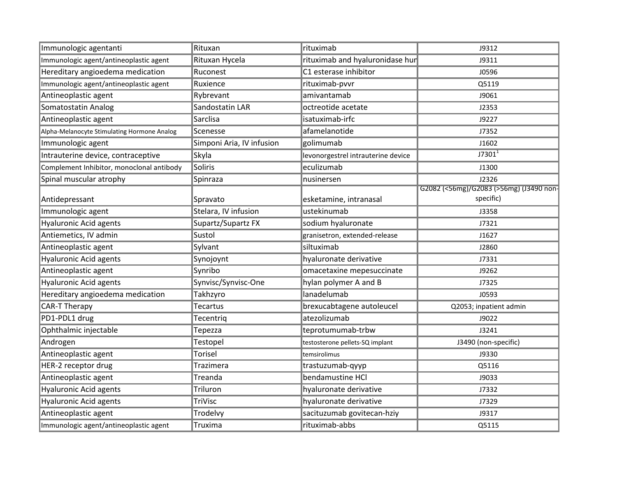| Immunologic agentanti                       | Rituxan                   | rituximab                          | J9312                                   |
|---------------------------------------------|---------------------------|------------------------------------|-----------------------------------------|
| Immunologic agent/antineoplastic agent      | Rituxan Hycela            | rituximab and hyaluronidase hur    | J9311                                   |
| Hereditary angioedema medication            | Ruconest                  | C1 esterase inhibitor              | J0596                                   |
| Immunologic agent/antineoplastic agent      | Ruxience                  | rituximab-pvvr                     | Q5119                                   |
| Antineoplastic agent                        | Rybrevant                 | amivantamab                        | J9061                                   |
| Somatostatin Analog                         | Sandostatin LAR           | octreotide acetate                 | J2353                                   |
| Antineoplastic agent                        | Sarclisa                  | isatuximab-irfc                    | J9227                                   |
| Alpha-Melanocyte Stimulating Hormone Analog | Scenesse                  | afamelanotide                      | J7352                                   |
| Immunologic agent                           | Simponi Aria, IV infusion | golimumab                          | J1602                                   |
| Intrauterine device, contraceptive          | Skyla                     | levonorgestrel intrauterine device | $J7301^1$                               |
| Complement Inhibitor, monoclonal antibody   | Soliris                   | eculizumab                         | J1300                                   |
| Spinal muscular atrophy                     | Spinraza                  | nusinersen                         | J2326                                   |
|                                             |                           |                                    | G2082 (<56mg)/G2083 (>56mg) (J3490 non- |
| Antidepressant                              | Spravato                  | esketamine, intranasal             | specific)                               |
| Immunologic agent                           | Stelara, IV infusion      | ustekinumab                        | J3358                                   |
| <b>Hyaluronic Acid agents</b>               | Supartz/Supartz FX        | sodium hyaluronate                 | J7321                                   |
| Antiemetics, IV admin                       | Sustol                    | granisetron, extended-release      | J1627                                   |
| Antineoplastic agent                        | Sylvant                   | siltuximab                         | J2860                                   |
| Hyaluronic Acid agents                      | Synojoynt                 | hyaluronate derivative             | J7331                                   |
| Antineoplastic agent                        | Synribo                   | omacetaxine mepesuccinate          | J9262                                   |
| <b>Hyaluronic Acid agents</b>               | Synvisc/Synvisc-One       | hylan polymer A and B              | J7325                                   |
| Hereditary angioedema medication            | <b>Takhzyro</b>           | lanadelumab                        | J0593                                   |
| CAR-T Therapy                               | <b>Tecartus</b>           | brexucabtagene autoleucel          | Q2053; inpatient admin                  |
| PD1-PDL1 drug                               | Tecentriq                 | atezolizumab                       | J9022                                   |
| Ophthalmic injectable                       | Tepezza                   | teprotumumab-trbw                  | J3241                                   |
| Androgen                                    | Testopel                  | testosterone pellets-SQ implant    | J3490 (non-specific)                    |
| Antineoplastic agent                        | <b>Torisel</b>            | temsirolimus                       | J9330                                   |
| HER-2 receptor drug                         | Trazimera                 | trastuzumab-qyyp                   | Q5116                                   |
| Antineoplastic agent                        | Treanda                   | bendamustine HCl                   | J9033                                   |
| Hyaluronic Acid agents                      | Triluron                  | hyaluronate derivative             | J7332                                   |
| <b>Hyaluronic Acid agents</b>               | TriVisc                   | hyaluronate derivative             | J7329                                   |
| Antineoplastic agent                        | Trodelvy                  | sacituzumab govitecan-hziy         | J9317                                   |
| Immunologic agent/antineoplastic agent      | Truxima                   | rituximab-abbs                     | Q5115                                   |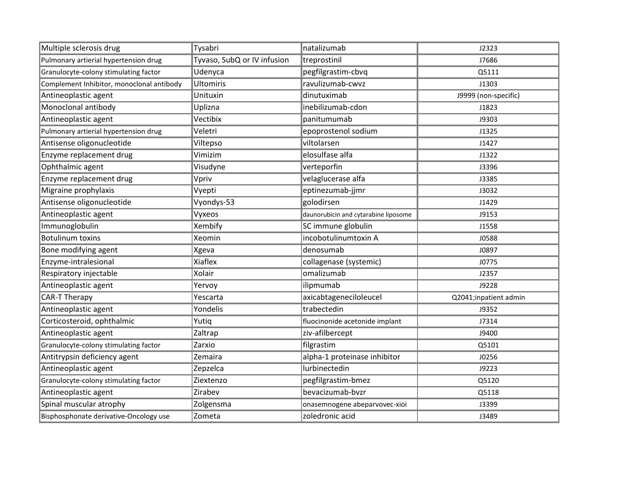| Multiple sclerosis drug                   | Tysabri                     | natalizumab                          | J2323                 |
|-------------------------------------------|-----------------------------|--------------------------------------|-----------------------|
| Pulmonary artierial hypertension drug     | Tyvaso, SubQ or IV infusion | treprostinil                         | J7686                 |
| Granulocyte-colony stimulating factor     | Udenyca                     | pegfilgrastim-cbvq                   | Q5111                 |
| Complement Inhibitor, monoclonal antibody | <b>Ultomiris</b>            | ravulizumab-cwvz                     | J1303                 |
| Antineoplastic agent                      | Unituxin                    | dinutuximab                          | J9999 (non-specific)  |
| Monoclonal antibody                       | Uplizna                     | inebilizumab-cdon                    | J1823                 |
| Antineoplastic agent                      | Vectibix                    | panitumumab                          | J9303                 |
| Pulmonary artierial hypertension drug     | Veletri                     | epoprostenol sodium                  | J1325                 |
| Antisense oligonucleotide                 | Viltepso                    | viltolarsen                          | J1427                 |
| Enzyme replacement drug                   | Vimizim                     | elosulfase alfa                      | J1322                 |
| Ophthalmic agent                          | Visudyne                    | verteporfin                          | J3396                 |
| Enzyme replacement drug                   | Vpriv                       | velaglucerase alfa                   | J3385                 |
| Migraine prophylaxis                      | Vyepti                      | eptinezumab-jjmr                     | J3032                 |
| Antisense oligonucleotide                 | Vyondys-53                  | golodirsen                           | J1429                 |
| Antineoplastic agent                      | Vyxeos                      | daunorubicin and cytarabine liposome | J9153                 |
| Immunoglobulin                            | Xembify                     | SC immune globulin                   | J1558                 |
| <b>Botulinum toxins</b>                   | Xeomin                      | incobotulinumtoxin A                 | <b>J0588</b>          |
| Bone modifying agent                      | Xgeva                       | denosumab                            | J0897                 |
| Enzyme-intralesional                      | Xiaflex                     | collagenase (systemic)               | J0775                 |
| Respiratory injectable                    | Xolair                      | omalizumab                           | J2357                 |
| Antineoplastic agent                      | Yervoy                      | ilipmumab                            | J9228                 |
| CAR-T Therapy                             | Yescarta                    | axicabtageneciloleucel               | Q2041;inpatient admin |
| Antineoplastic agent                      | Yondelis                    | trabectedin                          | J9352                 |
| Corticosteroid, ophthalmic                | Yutiq                       | fluocinonide acetonide implant       | J7314                 |
| Antineoplastic agent                      | Zaltrap                     | ziv-afilbercept                      | J9400                 |
| Granulocyte-colony stimulating factor     | Zarxio                      | filgrastim                           | Q5101                 |
| Antitrypsin deficiency agent              | Zemaira                     | alpha-1 proteinase inhibitor         | J0256                 |
| Antineoplastic agent                      | Zepzelca                    | lurbinectedin                        | J9223                 |
| Granulocyte-colony stimulating factor     | Ziextenzo                   | pegfilgrastim-bmez                   | Q5120                 |
| Antineoplastic agent                      | Zirabev                     | bevacizumab-bvzr                     | Q5118                 |
| Spinal muscular atrophy                   | Zolgensma                   | onasemnogene abeparvovec-xioi        | J3399                 |
| Bisphosphonate derivative-Oncology use    | Zometa                      | zoledronic acid                      | J3489                 |